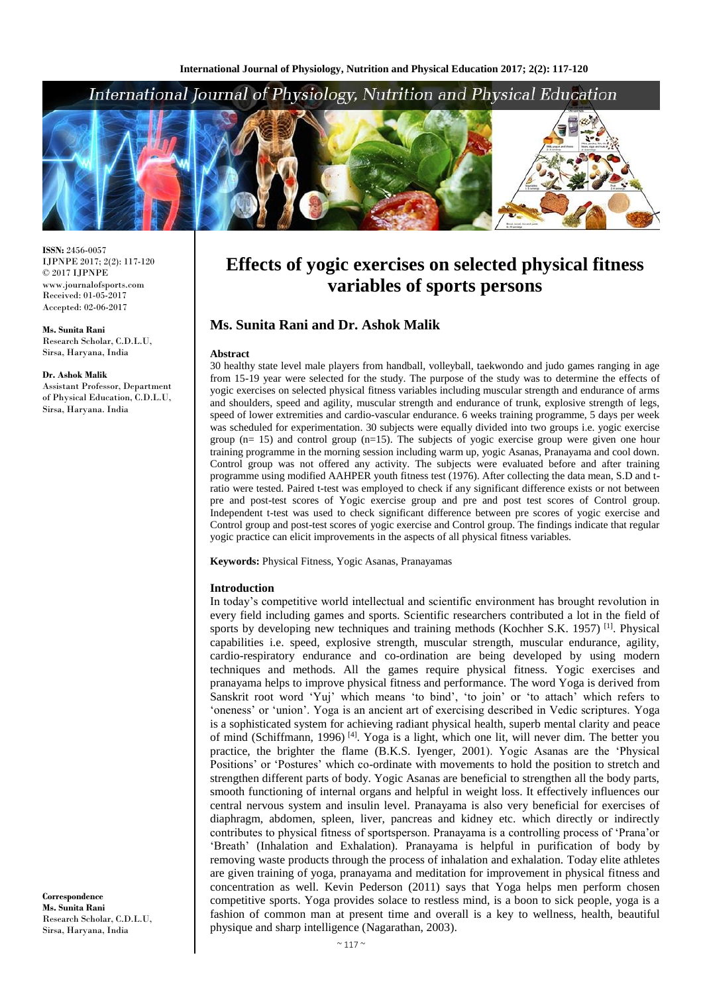# International Journal of Physiology, Nutrition and Physical Education



**ISSN:** 2456-0057 IJPNPE 2017; 2(2): 117-120  $\odot$  2017 IJPNPE www.journalofsports.com Received: 01-05-2017 Accepted: 02-06-2017

**Ms. Sunita Rani** Research Scholar, C.D.L.U, Sirsa, Haryana, India

#### **Dr. Ashok Malik**

Assistant Professor, Department of Physical Education, C.D.L.U, Sirsa, Haryana. India

# **Effects of yogic exercises on selected physical fitness variables of sports persons**

# **Ms. Sunita Rani and Dr. Ashok Malik**

#### **Abstract**

30 healthy state level male players from handball, volleyball, taekwondo and judo games ranging in age from 15-19 year were selected for the study. The purpose of the study was to determine the effects of yogic exercises on selected physical fitness variables including muscular strength and endurance of arms and shoulders, speed and agility, muscular strength and endurance of trunk, explosive strength of legs, speed of lower extremities and cardio-vascular endurance. 6 weeks training programme, 5 days per week was scheduled for experimentation. 30 subjects were equally divided into two groups i.e. yogic exercise group (n= 15) and control group (n=15). The subjects of yogic exercise group were given one hour training programme in the morning session including warm up, yogic Asanas, Pranayama and cool down. Control group was not offered any activity. The subjects were evaluated before and after training programme using modified AAHPER youth fitness test (1976). After collecting the data mean, S.D and tratio were tested. Paired t-test was employed to check if any significant difference exists or not between pre and post-test scores of Yogic exercise group and pre and post test scores of Control group. Independent t-test was used to check significant difference between pre scores of yogic exercise and Control group and post-test scores of yogic exercise and Control group. The findings indicate that regular yogic practice can elicit improvements in the aspects of all physical fitness variables.

**Keywords:** Physical Fitness, Yogic Asanas, Pranayamas

### **Introduction**

In today's competitive world intellectual and scientific environment has brought revolution in every field including games and sports. Scientific researchers contributed a lot in the field of sports by developing new techniques and training methods (Kochher S.K. 1957)<sup>[1]</sup>. Physical capabilities i.e. speed, explosive strength, muscular strength, muscular endurance, agility, cardio-respiratory endurance and co-ordination are being developed by using modern techniques and methods. All the games require physical fitness. Yogic exercises and pranayama helps to improve physical fitness and performance. The word Yoga is derived from Sanskrit root word 'Yuj' which means 'to bind', 'to join' or 'to attach' which refers to 'oneness' or 'union'. Yoga is an ancient art of exercising described in Vedic scriptures. Yoga is a sophisticated system for achieving radiant physical health, superb mental clarity and peace of mind (Schiffmann, 1996) [4] . Yoga is a light, which one lit, will never dim. The better you practice, the brighter the flame (B.K.S. Iyenger, 2001). Yogic Asanas are the 'Physical Positions' or 'Postures' which co-ordinate with movements to hold the position to stretch and strengthen different parts of body. Yogic Asanas are beneficial to strengthen all the body parts, smooth functioning of internal organs and helpful in weight loss. It effectively influences our central nervous system and insulin level. Pranayama is also very beneficial for exercises of diaphragm, abdomen, spleen, liver, pancreas and kidney etc. which directly or indirectly contributes to physical fitness of sportsperson. Pranayama is a controlling process of 'Prana'or 'Breath' (Inhalation and Exhalation). Pranayama is helpful in purification of body by removing waste products through the process of inhalation and exhalation. Today elite athletes are given training of yoga, pranayama and meditation for improvement in physical fitness and concentration as well. Kevin Pederson (2011) says that Yoga helps men perform chosen competitive sports. Yoga provides solace to restless mind, is a boon to sick people, yoga is a fashion of common man at present time and overall is a key to wellness, health, beautiful physique and sharp intelligence (Nagarathan, 2003).

**Correspondence Ms. Sunita Rani** Research Scholar, C.D.L.U, Sirsa, Haryana, India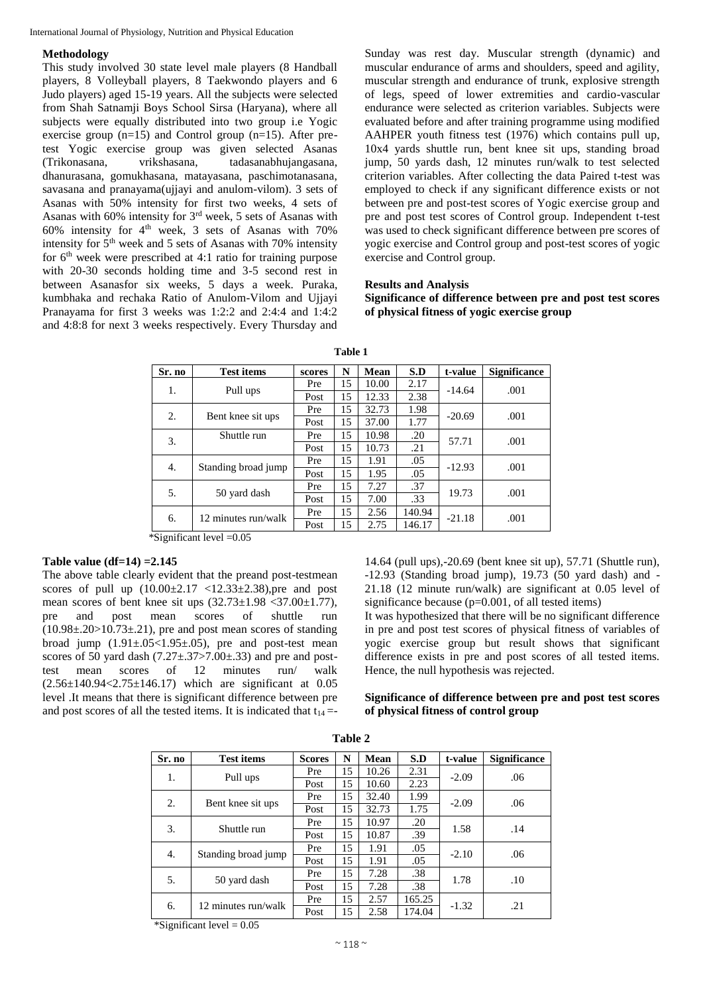## **Methodology**

This study involved 30 state level male players (8 Handball players, 8 Volleyball players, 8 Taekwondo players and 6 Judo players) aged 15-19 years. All the subjects were selected from Shah Satnamji Boys School Sirsa (Haryana), where all subjects were equally distributed into two group i.e Yogic exercise group (n=15) and Control group (n=15). After pretest Yogic exercise group was given selected Asanas (Trikonasana, vrikshasana, tadasanabhujangasana, dhanurasana, gomukhasana, matayasana, paschimotanasana, savasana and pranayama(ujjayi and anulom-vilom). 3 sets of Asanas with 50% intensity for first two weeks, 4 sets of Asanas with 60% intensity for 3rd week, 5 sets of Asanas with 60% intensity for  $4<sup>th</sup>$  week, 3 sets of Asanas with 70% intensity for  $5<sup>th</sup>$  week and 5 sets of Asanas with 70% intensity for  $6<sup>th</sup>$  week were prescribed at 4:1 ratio for training purpose with 20-30 seconds holding time and 3-5 second rest in between Asanasfor six weeks, 5 days a week. Puraka, kumbhaka and rechaka Ratio of Anulom-Vilom and Ujjayi Pranayama for first 3 weeks was 1:2:2 and 2:4:4 and 1:4:2 and 4:8:8 for next 3 weeks respectively. Every Thursday and

Sunday was rest day. Muscular strength (dynamic) and muscular endurance of arms and shoulders, speed and agility, muscular strength and endurance of trunk, explosive strength of legs, speed of lower extremities and cardio-vascular endurance were selected as criterion variables. Subjects were evaluated before and after training programme using modified AAHPER youth fitness test (1976) which contains pull up, 10x4 yards shuttle run, bent knee sit ups, standing broad jump, 50 yards dash, 12 minutes run/walk to test selected criterion variables. After collecting the data Paired t-test was employed to check if any significant difference exists or not between pre and post-test scores of Yogic exercise group and pre and post test scores of Control group. Independent t-test was used to check significant difference between pre scores of yogic exercise and Control group and post-test scores of yogic exercise and Control group.

### **Results and Analysis**

**Significance of difference between pre and post test scores of physical fitness of yogic exercise group**

| Sr. no | <b>Test items</b>   | scores | N  | Mean  | S.D    | t-value  | <b>Significance</b> |  |
|--------|---------------------|--------|----|-------|--------|----------|---------------------|--|
|        |                     | Pre    | 15 | 10.00 | 2.17   | $-14.64$ | .001                |  |
| 1.     | Pull ups            | Post   | 15 | 12.33 | 2.38   |          |                     |  |
|        |                     | Pre    | 15 | 32.73 | 1.98   | $-20.69$ | .001                |  |
| 2.     | Bent knee sit ups   | Post   | 15 | 37.00 | 1.77   |          |                     |  |
| 3.     | Shuttle run         | Pre    | 15 | 10.98 | .20    | 57.71    |                     |  |
|        |                     | Post   | 15 | 10.73 | .21    |          | .001                |  |
| 4.     | Standing broad jump | Pre    | 15 | 1.91  | .05    | $-12.93$ | .001                |  |
|        |                     | Post   | 15 | 1.95  | .05    |          |                     |  |
| 5.     |                     | Pre    | 15 | 7.27  | .37    | 19.73    | .001                |  |
|        | 50 yard dash        | Post   | 15 | 7.00  | .33    |          |                     |  |
|        | 12 minutes run/walk | Pre    | 15 | 2.56  | 140.94 | $-21.18$ | .001                |  |
| 6.     |                     | Post   | 15 | 2.75  | 146.17 |          |                     |  |

**Table 1**

 $*\overline{\text{Significant level}} = 0.05$ 

# **Table value (df=14) =2.145**

The above table clearly evident that the preand post-testmean scores of pull up  $(10.00 \pm 2.17 \times 12.33 \pm 2.38)$ , pre and post mean scores of bent knee sit ups  $(32.73 \pm 1.98 \leq 37.00 \pm 1.77)$ , pre and post mean scores of shuttle run  $(10.98\pm 0.20 > 10.73\pm 0.21)$ , pre and post mean scores of standing broad jump  $(1.91 \pm .05 \lt 1.95 \pm .05)$ , pre and post-test mean scores of 50 yard dash  $(7.27 \pm .37) \times .00 \pm .33)$  and pre and posttest mean scores of 12 minutes run/ walk  $(2.56\pm140.94<2.75\pm146.17)$  which are significant at 0.05 level .It means that there is significant difference between pre and post scores of all the tested items. It is indicated that  $t_{14}$  =-

14.64 (pull ups),-20.69 (bent knee sit up), 57.71 (Shuttle run),  $-12.93$  (Standing broad jump),  $19.73$  (50 yard dash) and  $-$ 21.18 (12 minute run/walk) are significant at 0.05 level of significance because  $(p=0.001, \text{ of all tested items})$ 

It was hypothesized that there will be no significant difference in pre and post test scores of physical fitness of variables of yogic exercise group but result shows that significant difference exists in pre and post scores of all tested items. Hence, the null hypothesis was rejected.

**Significance of difference between pre and post test scores of physical fitness of control group**

| Sr. no | <b>Test items</b>   | <b>Scores</b> | N  | Mean  | S.D    | t-value | <b>Significance</b> |  |
|--------|---------------------|---------------|----|-------|--------|---------|---------------------|--|
| 1.     | Pull ups            | Pre           | 15 | 10.26 | 2.31   | $-2.09$ |                     |  |
|        |                     | Post          | 15 | 10.60 | 2.23   |         | .06                 |  |
| 2.     | Bent knee sit ups   | Pre           | 15 | 32.40 | 1.99   | $-2.09$ | .06                 |  |
|        |                     | Post          | 15 | 32.73 | 1.75   |         |                     |  |
| 3.     | Shuttle run         | Pre           | 15 | 10.97 | .20    | 1.58    | .14                 |  |
|        |                     | Post          | 15 | 10.87 | .39    |         |                     |  |
| 4.     | Standing broad jump | Pre           | 15 | 1.91  | .05    | $-2.10$ | .06                 |  |
|        |                     | Post          | 15 | 1.91  | .05    |         |                     |  |
| 5.     | 50 yard dash        | Pre           | 15 | 7.28  | .38    | 1.78    | .10                 |  |
|        |                     | Post          | 15 | 7.28  | .38    |         |                     |  |
| 6.     | 12 minutes run/walk | Pre           | 15 | 2.57  | 165.25 | $-1.32$ |                     |  |
|        |                     | Post          | 15 | 2.58  | 174.04 |         | .21                 |  |

**Table 2**

\*Significant level  $= 0.05$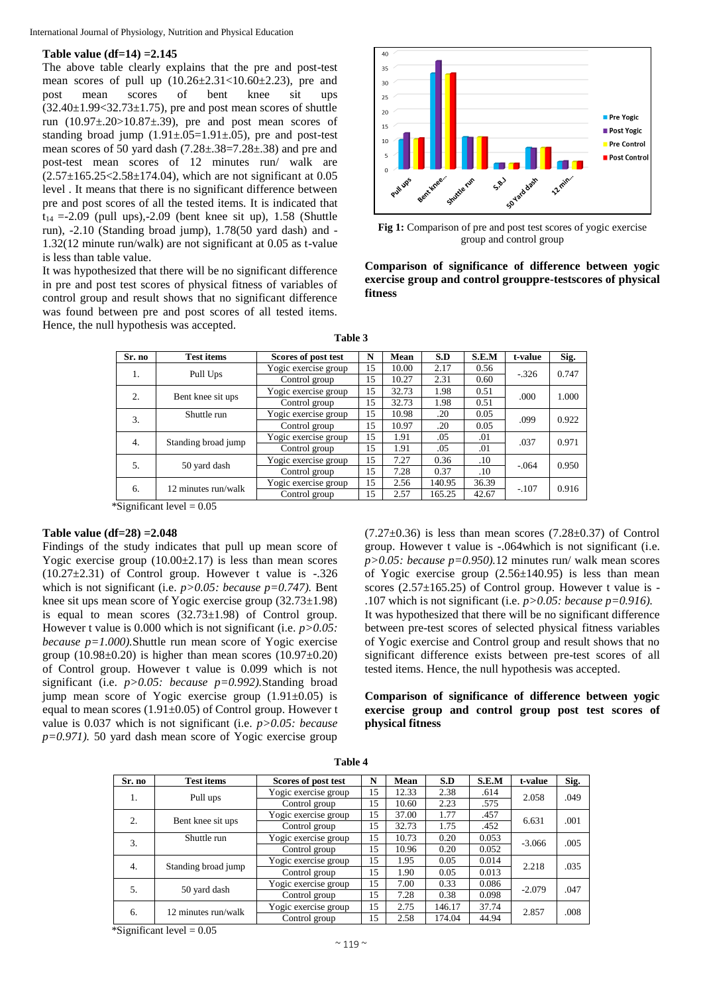# **Table value (df=14) =2.145**

The above table clearly explains that the pre and post-test mean scores of pull up (10.26±2.31<10.60±2.23), pre and post mean scores of bent knee sit ups  $(32.40\pm1.99<32.73\pm1.75)$ , pre and post mean scores of shuttle run  $(10.97\pm.20>10.87\pm.39)$ , pre and post mean scores of standing broad jump  $(1.91 \pm .05=1.91 \pm .05)$ , pre and post-test mean scores of 50 yard dash (7.28±.38=7.28±.38) and pre and post-test mean scores of 12 minutes run/ walk are  $(2.57 \pm 165.25 \times 2.58 \pm 174.04)$ , which are not significant at 0.05 level . It means that there is no significant difference between pre and post scores of all the tested items. It is indicated that  $t_{14} = -2.09$  (pull ups),  $-2.09$  (bent knee sit up),  $1.58$  (Shuttle run), -2.10 (Standing broad jump), 1.78(50 yard dash) and - 1.32(12 minute run/walk) are not significant at 0.05 as t-value is less than table value.

It was hypothesized that there will be no significant difference in pre and post test scores of physical fitness of variables of control group and result shows that no significant difference was found between pre and post scores of all tested items. Hence, the null hypothesis was accepted.



**Fig 1:** Comparison of pre and post test scores of yogic exercise group and control group

# **Comparison of significance of difference between yogic exercise group and control grouppre-testscores of physical fitness**

| anı |  |
|-----|--|
|-----|--|

| Sr. no                  | <b>Test items</b>   | Scores of post test  | N  | Mean  | S.D    | S.E.M   | t-value | Sig.  |
|-------------------------|---------------------|----------------------|----|-------|--------|---------|---------|-------|
| 1.                      | Pull Ups            | Yogic exercise group | 15 | 10.00 | 2.17   | 0.56    | $-326$  | 0.747 |
|                         |                     | Control group        | 15 | 10.27 | 2.31   | 0.60    |         |       |
| 2.<br>Bent knee sit ups |                     | Yogic exercise group | 15 | 32.73 | 1.98   | 0.51    | .000    | 1.000 |
|                         |                     | Control group        | 15 | 32.73 | 1.98   | 0.51    |         |       |
| 3.                      | Shuttle run         | Yogic exercise group | 15 | 10.98 | .20    | 0.05    | .099    | 0.922 |
|                         |                     | Control group        | 15 | 10.97 | .20    | 0.05    |         |       |
| 4.                      | Standing broad jump | Yogic exercise group | 15 | 1.91  | .05    | .01     | .037    | 0.971 |
|                         |                     | Control group        | 15 | 1.91  | .05    | .01     |         |       |
| 5.                      |                     | Yogic exercise group | 15 | 7.27  | 0.36   | .10     | $-.064$ | 0.950 |
|                         | 50 yard dash        | Control group        | 15 | 7.28  | 0.37   | $.10\,$ |         |       |
| 6.                      | 12 minutes run/walk | Yogic exercise group | 15 | 2.56  | 140.95 | 36.39   | $-.107$ | 0.916 |
|                         |                     | Control group        | 15 | 2.57  | 165.25 | 42.67   |         |       |

\*Significant level  $= 0.05$ 

#### **Table value (df=28) =2.048**

Findings of the study indicates that pull up mean score of Yogic exercise group  $(10.00\pm2.17)$  is less than mean scores  $(10.27 \pm 2.31)$  of Control group. However t value is  $-.326$ which is not significant (i.e.  $p > 0.05$ : *because p*=0.747). Bent knee sit ups mean score of Yogic exercise group (32.73±1.98) is equal to mean scores  $(32.73\pm1.98)$  of Control group. However t value is 0.000 which is not significant (i.e. *p>0.05: because p=1.000).*Shuttle run mean score of Yogic exercise group (10.98 $\pm$ 0.20) is higher than mean scores (10.97 $\pm$ 0.20) of Control group. However t value is 0.099 which is not significant (i.e. *p>0.05: because p=0.992).*Standing broad jump mean score of Yogic exercise group  $(1.91\pm0.05)$  is equal to mean scores (1.91±0.05) of Control group. However t value is 0.037 which is not significant (i.e. *p>0.05: because p=0.971).* 50 yard dash mean score of Yogic exercise group

 $(7.27\pm0.36)$  is less than mean scores  $(7.28\pm0.37)$  of Control group. However t value is -.064which is not significant (i.e. *p>0.05: because p=0.950).*12 minutes run/ walk mean scores of Yogic exercise group  $(2.56\pm140.95)$  is less than mean scores (2.57±165.25) of Control group. However t value is - .107 which is not significant (i.e. *p>0.05: because p=0.916).* It was hypothesized that there will be no significant difference between pre-test scores of selected physical fitness variables of Yogic exercise and Control group and result shows that no significant difference exists between pre-test scores of all tested items. Hence, the null hypothesis was accepted.

**Comparison of significance of difference between yogic exercise group and control group post test scores of physical fitness**

| Sr. no           | <b>Test items</b>   | Scores of post test  | N  | Mean  | S.D    | S.E.M | t-value  | Sig. |
|------------------|---------------------|----------------------|----|-------|--------|-------|----------|------|
| 1.               | Pull ups            | Yogic exercise group | 15 | 12.33 | 2.38   | .614  |          | .049 |
|                  |                     | Control group        | 15 | 10.60 | 2.23   | .575  | 2.058    |      |
| $\overline{2}$ . | Bent knee sit ups   | Yogic exercise group | 15 | 37.00 | 1.77   | .457  |          | .001 |
|                  |                     | Control group        | 15 | 32.73 | 1.75   | .452  | 6.631    |      |
| 3.               | Shuttle run         | Yogic exercise group | 15 | 10.73 | 0.20   | 0.053 | $-3.066$ | .005 |
|                  |                     | Control group        | 15 | 10.96 | 0.20   | 0.052 |          |      |
| $\overline{4}$ . | Standing broad jump | Yogic exercise group | 15 | 1.95  | 0.05   | 0.014 | 2.218    | .035 |
|                  |                     | Control group        | 15 | 1.90  | 0.05   | 0.013 |          |      |
| 5.               | 50 yard dash        | Yogic exercise group | 15 | 7.00  | 0.33   | 0.086 | $-2.079$ | .047 |
|                  |                     | Control group        | 15 | 7.28  | 0.38   | 0.098 |          |      |
| 6.               | 12 minutes run/walk | Yogic exercise group | 15 | 2.75  | 146.17 | 37.74 |          | .008 |
|                  |                     | Control group        | 15 | 2.58  | 174.04 | 44.94 | 2.857    |      |

**Table 4**

\*Significant level  $= 0.05$